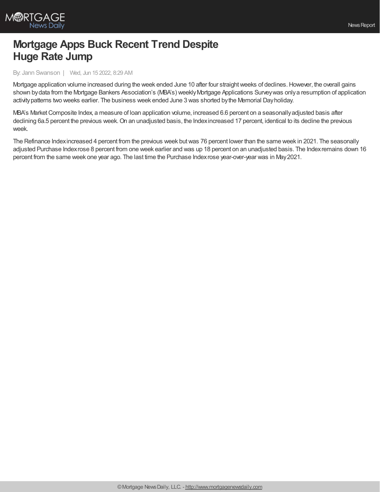

## **Mortgage Apps Buck Recent Trend Despite Huge Rate Jump**

## By: Jann Swanson | Wed, Jun 15 2022, 8:29 AM

Mortgage application volume increased during the week ended June 10 after four straight weeks of declines. However, the overall gains shown bydata from the Mortgage Bankers Association's (MBA's) weeklyMortgage Applications Surveywas onlya resumption of application activitypatterns two weeks earlier. The business week ended June 3 was shorted bythe Memorial Dayholiday.

MBA's Market Composite Index, a measure of loan application volume, increased 6.6 percent on a seasonally adjusted basis after declining 6a.5 percent the previous week. On an unadjusted basis, the Index increased 17 percent, identical to its decline the previous week.

The Refinance Indexincreased 4 percent from the previous week butwas 76 percent lower than the same week in 2021. The seasonally adjusted Purchase Indexrose 8 percent from one week earlier and was up 18 percent on an unadjusted basis. The Indexremains down 16 percent from the same week one year ago. The last time the Purchase Indexrose year-over-year was in May2021.